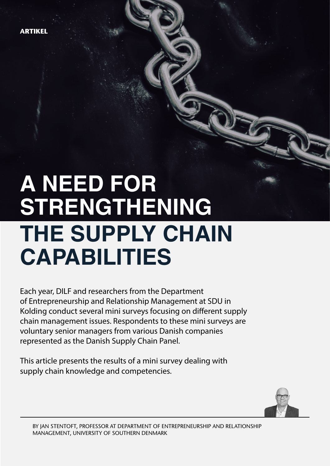**ARTIKEL**

# **A need for strengthening the supply chain capabilities**

Each year, DILF and researchers from the Department of Entrepreneurship and Relationship Management at SDU in Kolding conduct several mini surveys focusing on different supply chain management issues. Respondents to these mini surveys are voluntary senior managers from various Danish companies represented as the Danish Supply Chain Panel.

This article presents the results of a mini survey dealing with supply chain knowledge and competencies.

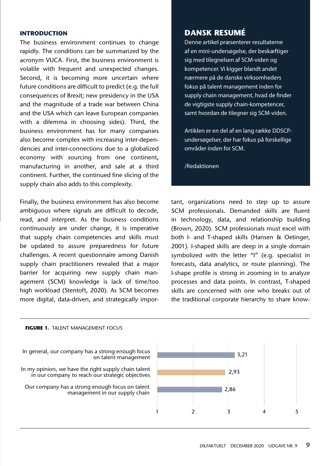### **Introduction**

The business environment continues to change rapidly. The conditions can be summarized by the acronym VUCA. First, the business environment is volatile with frequent and unexpected changes. Second, it is becoming more uncertain where future conditions are difficult to predict (e.g. the full consequences of Brexit; new presidency in the USA and the magnitude of a trade war between China and the USA which can leave European companies with a dilemma in choosing sides). Third, the business environment has for many companies also become complex with increasing inter-dependencies and inter-connections due to a globalized economy with sourcing from one continent, manufacturing in another, and sale at a third continent. Further, the continued fine slicing of the supply chain also adds to this complexity.

Finally, the business environment has also become ambiguous where signals are difficult to decode, read, and interpret. As the business conditions continuously are under change, it is imperative that supply chain competencies and skills must be updated to assure preparedness for future challenges. A recent questionnaire among Danish supply chain practitioners revealed that a major barrier for acquiring new supply chain management (SCM) knowledge is lack of time/too high workload (Stentoft, 2020). As SCM becomes more digital, data-driven, and strategically impor-

# **dansk resumé**

Denne artikel præsenterer resultaterne af en mini-undersøgelse, der beskæftiger sig med tilegnelsen af SCM-viden og kompetencer. Vi kigger blandt andet nærmere på de danske virksomheders fokus på talent management inden for supply chain management, hvad de finder de vigtigste supply chain-kompetencer, samt hvordan de tilegner sig SCM-viden.

Artiklen er en del af en lang række DDSCPundersøgelser, der har fokus på forskellige områder inden for SCM.

/Redaktionen

tant, organizations need to step up to assure SCM professionals. Demanded skills are fluent in technology, data, and relationship building (Brown, 2020). SCM professionals must excel with both I- and T-shaped skills (Hansen & Oetinger, 2001). I-shaped skills are deep in a single domain symbolized with the letter "I" (e.g. specialist in forecasts, data analytics, or route planning). The I-shape profile is strong in zooming in to analyze processes and data points. In contrast, T-shaped skills are concerned with one who breaks out of the traditional corporate hierarchy to share know-

#### **FIGURE 1.**TALENT MANAGEMENT FOCUS

In general, our company has a strong enough focus on talent management

In my opinion, we have the right supply chain talent in our company to reach our strategic objectives

Our company has a strong enough focus on talent management in our supply chain

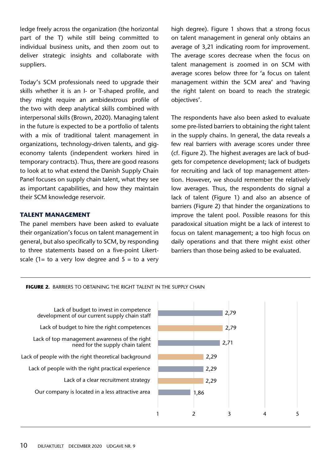ledge freely across the organization (the horizontal part of the T) while still being committed to individual business units, and then zoom out to deliver strategic insights and collaborate with suppliers.

Today's SCM professionals need to upgrade their skills whether it is an I- or T-shaped profile, and they might require an ambidextrous profile of the two with deep analytical skills combined with interpersonal skills (Brown, 2020). Managing talent in the future is expected to be a portfolio of talents with a mix of traditional talent management in organizations, technology-driven talents, and gigeconomy talents (independent workers hired in temporary contracts). Thus, there are good reasons to look at to what extend the Danish Supply Chain Panel focuses on supply chain talent, what they see as important capabilities, and how they maintain their SCM knowledge reservoir.

#### **Talent management**

The panel members have been asked to evaluate their organization's focus on talent management in general, but also specifically to SCM, by responding to three statements based on a five-point Likertscale (1= to a very low degree and  $5 =$  to a very high degree). Figure 1 shows that a strong focus on talent management in general only obtains an average of 3,21 indicating room for improvement. The average scores decrease when the focus on talent management is zoomed in on SCM with average scores below three for 'a focus on talent management within the SCM area' and 'having the right talent on board to reach the strategic objectives'.

The respondents have also been asked to evaluate some pre-listed barriers to obtaining the right talent in the supply chains. In general, the data reveals a few real barriers with average scores under three (cf. Figure 2). The highest averages are lack of budgets for competence development; lack of budgets for recruiting and lack of top management attention. However, we should remember the relatively low averages. Thus, the respondents do signal a lack of talent (Figure 1) and also an absence of barriers (Figure 2) that hinder the organizations to improve the talent pool. Possible reasons for this paradoxical situation might be a lack of interest to focus on talent management; a too high focus on daily operations and that there might exist other barriers than those being asked to be evaluated.

**FIGURE 2.** BARRIERS TO OBTAINING THE RIGHT TALENT IN THE SUPPLY CHAIN

Lack of budget to invest in competence development of our current supply chain staff Lack of budget to hire the right competences Lack of top management awareness of the right need for the supply chain talent Lack of people with the right theoretical background Lack of people with the right practical experience Lack of a clear recruitment strategy Our company is located in a less attractive area

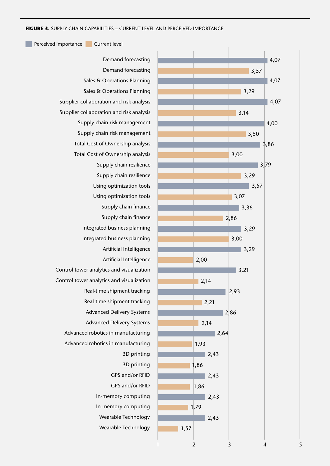Perceived importance Current level

Demand forecasting Demand forecasting Sales & Operations Planning Sales & Operations Planning Supplier collaboration and risk analysis Supplier collaboration and risk analysis Supply chain risk management Supply chain risk management Total Cost of Ownership analysis Total Cost of Ownership analysis Supply chain resilience Supply chain resilience Using optimization tools Using optimization tools Supply chain finance Supply chain finance Integrated business planning Integrated business planning Artificial Intelligence Artificial Intelligence Control tower analytics and visualization Control tower analytics and visualization Real-time shipment tracking Real-time shipment tracking Advanced Delivery Systems Advanced Delivery Systems Advanced robotics in manufacturing Advanced robotics in manufacturing 3D printing 3D printing GPS and/or RFID GPS and/or RFID In-memory computing In-memory computing Wearable Technology Wearable Technology

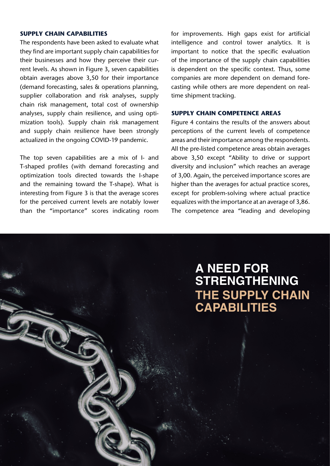## **Supply chain capabilities**

The respondents have been asked to evaluate what they find are important supply chain capabilities for their businesses and how they perceive their current levels. As shown in Figure 3, seven capabilities obtain averages above 3,50 for their importance (demand forecasting, sales & operations planning, supplier collaboration and risk analyses, supply chain risk management, total cost of ownership analyses, supply chain resilience, and using optimization tools). Supply chain risk management and supply chain resilience have been strongly actualized in the ongoing COVID-19 pandemic.

The top seven capabilities are a mix of I- and T-shaped profiles (with demand forecasting and optimization tools directed towards the I-shape and the remaining toward the T-shape). What is interesting from Figure 3 is that the average scores for the perceived current levels are notably lower than the "importance" scores indicating room for improvements. High gaps exist for artificial intelligence and control tower analytics. It is important to notice that the specific evaluation of the importance of the supply chain capabilities is dependent on the specific context. Thus, some companies are more dependent on demand forecasting while others are more dependent on realtime shipment tracking.

#### **Supply chain competence areas**

Figure 4 contains the results of the answers about perceptions of the current levels of competence areas and their importance among the respondents. All the pre-listed competence areas obtain averages above 3,50 except "Ability to drive or support diversity and inclusion" which reaches an average of 3,00. Again, the perceived importance scores are higher than the averages for actual practice scores, except for problem-solving where actual practice equalizes with the importance at an average of 3,86. The competence area "leading and developing

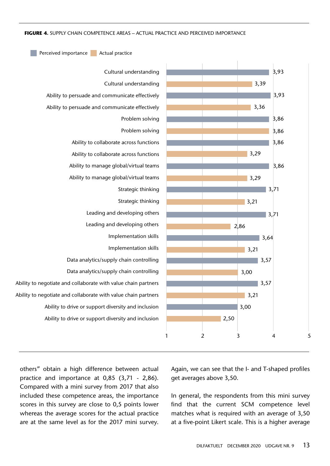Perceived importance Actual practice



others" obtain a high difference between actual practice and importance at 0,85 (3,71 - 2,86). Compared with a mini survey from 2017 that also included these competence areas, the importance scores in this survey are close to 0,5 points lower whereas the average scores for the actual practice are at the same level as for the 2017 mini survey.

Again, we can see that the I- and T-shaped profiles get averages above 3,50.

In general, the respondents from this mini survey find that the current SCM competence level matches what is required with an average of 3,50 at a five-point Likert scale. This is a higher average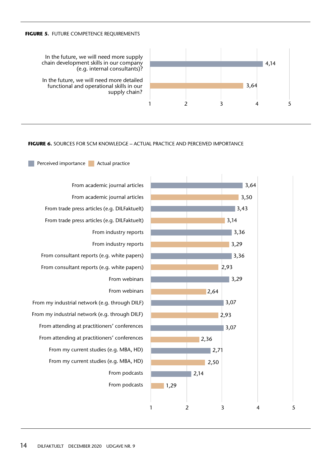#### **FIGURE 5. FUTURE COMPETENCE REQUIREMENTS**

Perceived importance Actual practice

4,14 1 2 3 4 5 3,64

In the future, we will need more supply chain development skills in our company (e.g. internal consultants)?

In the future, we will need more detailed functional and operational skills in our supply chain?

#### **FIGURE 6.** Sources for SCM knowledge – actual practice and perceived importance

From academic journal articles From academic journal articles From trade press articles (e.g. DILFaktuelt) From trade press articles (e.g. DILFaktuelt) From industry reports From industry reports From consultant reports (e.g. white papers) From consultant reports (e.g. white papers) From webinars From webinars From my industrial network (e.g. through DILF) From my industrial network (e.g. through DILF) From attending at practitioners' conferences From attending at practitioners' conferences From my current studies (e.g. MBA, HD) From my current studies (e.g. MBA, HD) From podcasts From podcasts

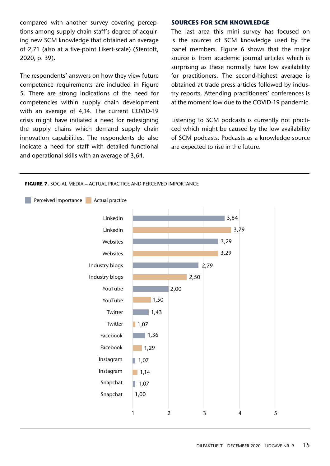compared with another survey covering perceptions among supply chain staff's degree of acquiring new SCM knowledge that obtained an average of 2,71 (also at a five-point Likert-scale) (Stentoft, 2020, p. 39).

The respondents' answers on how they view future competence requirements are included in Figure 5. There are strong indications of the need for competencies within supply chain development with an average of 4,14. The current COVID-19 crisis might have initiated a need for redesigning the supply chains which demand supply chain innovation capabilities. The respondents do also indicate a need for staff with detailed functional and operational skills with an average of 3,64.

#### **Sources for SCM knowledge**

The last area this mini survey has focused on is the sources of SCM knowledge used by the panel members. Figure 6 shows that the major source is from academic journal articles which is surprising as these normally have low availability for practitioners. The second-highest average is obtained at trade press articles followed by industry reports. Attending practitioners' conferences is at the moment low due to the COVID-19 pandemic.

Listening to SCM podcasts is currently not practiced which might be caused by the low availability of SCM podcasts. Podcasts as a knowledge source are expected to rise in the future.